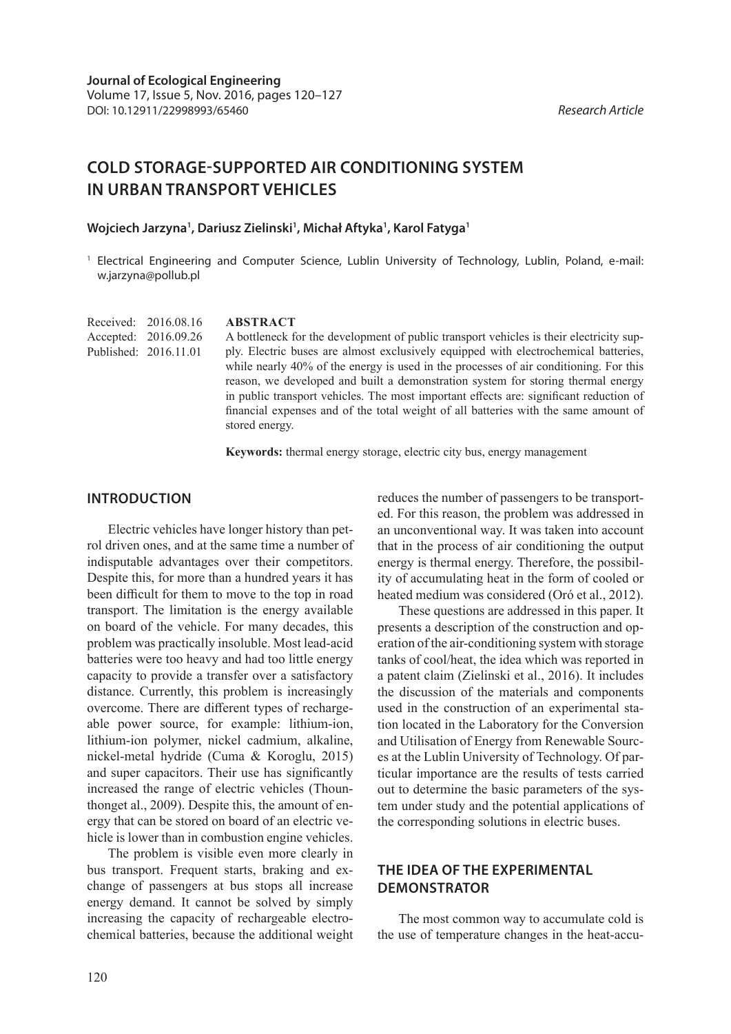# **COLD STORAGE-SUPPORTED AIR CONDITIONING SYSTEM IN URBAN TRANSPORT VEHICLES**

**Wojciech Jarzyna1 , Dariusz Zielinski1 , Michał Aftyka1 , Karol Fatyga1**

<sup>1</sup> Electrical Engineering and Computer Science, Lublin University of Technology, Lublin, Poland, e-mail: w.jarzyna@pollub.pl

| Received: 2016.08.16  | <b>ABSTRACT</b>                                                                         |
|-----------------------|-----------------------------------------------------------------------------------------|
| Accepted: 2016.09.26  | A bottleneck for the development of public transport vehicles is their electricity sup- |
| Published: 2016.11.01 | ply. Electric buses are almost exclusively equipped with electrochemical batteries,     |
|                       | while nearly 40% of the energy is used in the processes of air conditioning. For this   |
|                       | reason, we developed and built a demonstration system for storing thermal energy        |

stored energy.

in public transport vehicles. The most important effects are: significant reduction of financial expenses and of the total weight of all batteries with the same amount of

**Keywords:** thermal energy storage, electric city bus, energy management

#### **INTRODUCTION**

Electric vehicles have longer history than petrol driven ones, and at the same time a number of indisputable advantages over their competitors. Despite this, for more than a hundred years it has been difficult for them to move to the top in road transport. The limitation is the energy available on board of the vehicle. For many decades, this problem was practically insoluble. Most lead-acid batteries were too heavy and had too little energy capacity to provide a transfer over a satisfactory distance. Currently, this problem is increasingly overcome. There are different types of rechargeable power source, for example: lithium-ion, lithium-ion polymer, nickel cadmium, alkaline, nickel-metal hydride (Cuma & Koroglu, 2015) and super capacitors. Their use has significantly increased the range of electric vehicles (Thounthonget al., 2009). Despite this, the amount of energy that can be stored on board of an electric vehicle is lower than in combustion engine vehicles.

The problem is visible even more clearly in bus transport. Frequent starts, braking and exchange of passengers at bus stops all increase energy demand. It cannot be solved by simply increasing the capacity of rechargeable electrochemical batteries, because the additional weight reduces the number of passengers to be transported. For this reason, the problem was addressed in an unconventional way. It was taken into account that in the process of air conditioning the output energy is thermal energy. Therefore, the possibility of accumulating heat in the form of cooled or heated medium was considered (Oró et al., 2012).

These questions are addressed in this paper. It presents a description of the construction and operation of the air-conditioning system with storage tanks of cool/heat, the idea which was reported in a patent claim (Zielinski et al., 2016). It includes the discussion of the materials and components used in the construction of an experimental station located in the Laboratory for the Conversion and Utilisation of Energy from Renewable Sources at the Lublin University of Technology. Of particular importance are the results of tests carried out to determine the basic parameters of the system under study and the potential applications of the corresponding solutions in electric buses.

# **THE IDEA OF THE EXPERIMENTAL DEMONSTRATOR**

The most common way to accumulate cold is the use of temperature changes in the heat-accu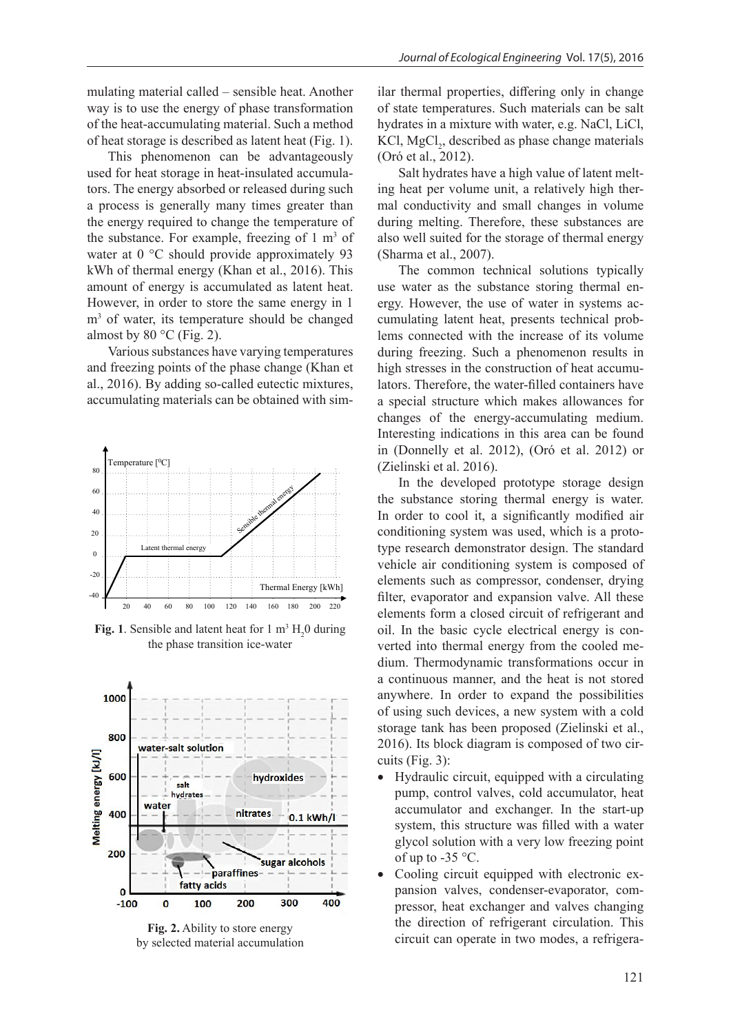mulating material called – sensible heat. Another way is to use the energy of phase transformation of the heat-accumulating material. Such a method of heat storage is described as latent heat (Fig. 1).

This phenomenon can be advantageously used for heat storage in heat-insulated accumulators. The energy absorbed or released during such a process is generally many times greater than the energy required to change the temperature of the substance. For example, freezing of  $1 \text{ m}^3$  of water at 0 °C should provide approximately 93 kWh of thermal energy (Khan et al., 2016). This amount of energy is accumulated as latent heat. However, in order to store the same energy in 1 m3 of water, its temperature should be changed almost by  $80 °C$  (Fig. 2).

Various substances have varying temperatures and freezing points of the phase change (Khan et al., 2016). By adding so-called eutectic mixtures, accumulating materials can be obtained with sim-



**Fig. 1**. Sensible and latent heat for  $1 \text{ m}^3 \text{ H}_2$ 0 during the phase transition ice-water



**Fig. 2.** Ability to store energy by selected material accumulation

ilar thermal properties, differing only in change of state temperatures. Such materials can be salt hydrates in a mixture with water, e.g. NaCl, LiCl, KCl,  $MgCl<sub>2</sub>$ , described as phase change materials (Oró et al., 2012).

Salt hydrates have a high value of latent melting heat per volume unit, a relatively high thermal conductivity and small changes in volume during melting. Therefore, these substances are also well suited for the storage of thermal energy (Sharma et al., 2007).

The common technical solutions typically use water as the substance storing thermal energy. However, the use of water in systems accumulating latent heat, presents technical problems connected with the increase of its volume during freezing. Such a phenomenon results in high stresses in the construction of heat accumulators. Therefore, the water-filled containers have a special structure which makes allowances for changes of the energy-accumulating medium. Interesting indications in this area can be found in (Donnelly et al. 2012), (Oró et al. 2012) or (Zielinski et al. 2016).

In the developed prototype storage design the substance storing thermal energy is water. In order to cool it, a significantly modified air conditioning system was used, which is a prototype research demonstrator design. The standard vehicle air conditioning system is composed of elements such as compressor, condenser, drying filter, evaporator and expansion valve. All these elements form a closed circuit of refrigerant and oil. In the basic cycle electrical energy is converted into thermal energy from the cooled medium. Thermodynamic transformations occur in a continuous manner, and the heat is not stored anywhere. In order to expand the possibilities of using such devices, a new system with a cold storage tank has been proposed (Zielinski et al., 2016). Its block diagram is composed of two circuits (Fig. 3):

- Hydraulic circuit, equipped with a circulating pump, control valves, cold accumulator, heat accumulator and exchanger. In the start-up system, this structure was filled with a water glycol solution with a very low freezing point of up to  $-35$  °C.
- Cooling circuit equipped with electronic expansion valves, condenser-evaporator, compressor, heat exchanger and valves changing the direction of refrigerant circulation. This circuit can operate in two modes, a refrigera-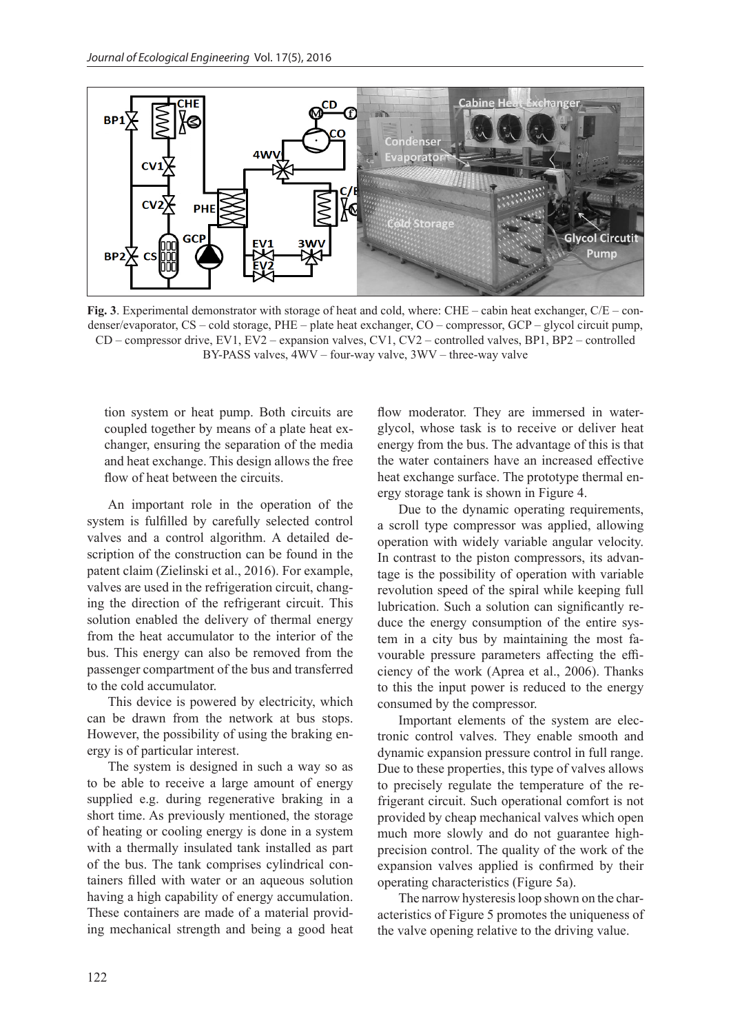

**Fig. 3**. Experimental demonstrator with storage of heat and cold, where: CHE – cabin heat exchanger, C/E – condenser/evaporator, CS – cold storage, PHE – plate heat exchanger, CO – compressor, GCP – glycol circuit pump, CD – compressor drive, EV1, EV2 – expansion valves, CV1, CV2 – controlled valves, BP1, BP2 – controlled BY-PASS valves, 4WV – four-way valve, 3WV – three-way valve

tion system or heat pump. Both circuits are coupled together by means of a plate heat exchanger, ensuring the separation of the media and heat exchange. This design allows the free flow of heat between the circuits.

An important role in the operation of the system is fulfilled by carefully selected control valves and a control algorithm. A detailed description of the construction can be found in the patent claim (Zielinski et al., 2016). For example, valves are used in the refrigeration circuit, changing the direction of the refrigerant circuit. This solution enabled the delivery of thermal energy from the heat accumulator to the interior of the bus. This energy can also be removed from the passenger compartment of the bus and transferred to the cold accumulator.

This device is powered by electricity, which can be drawn from the network at bus stops. However, the possibility of using the braking energy is of particular interest.

The system is designed in such a way so as to be able to receive a large amount of energy supplied e.g. during regenerative braking in a short time. As previously mentioned, the storage of heating or cooling energy is done in a system with a thermally insulated tank installed as part of the bus. The tank comprises cylindrical containers filled with water or an aqueous solution having a high capability of energy accumulation. These containers are made of a material providing mechanical strength and being a good heat flow moderator. They are immersed in waterglycol, whose task is to receive or deliver heat energy from the bus. The advantage of this is that the water containers have an increased effective heat exchange surface. The prototype thermal energy storage tank is shown in Figure 4.

Due to the dynamic operating requirements, a scroll type compressor was applied, allowing operation with widely variable angular velocity. In contrast to the piston compressors, its advantage is the possibility of operation with variable revolution speed of the spiral while keeping full lubrication. Such a solution can significantly reduce the energy consumption of the entire system in a city bus by maintaining the most favourable pressure parameters affecting the efficiency of the work (Aprea et al., 2006). Thanks to this the input power is reduced to the energy consumed by the compressor.

Important elements of the system are electronic control valves. They enable smooth and dynamic expansion pressure control in full range. Due to these properties, this type of valves allows to precisely regulate the temperature of the refrigerant circuit. Such operational comfort is not provided by cheap mechanical valves which open much more slowly and do not guarantee highprecision control. The quality of the work of the expansion valves applied is confirmed by their operating characteristics (Figure 5a).

The narrow hysteresis loop shown on the characteristics of Figure 5 promotes the uniqueness of the valve opening relative to the driving value.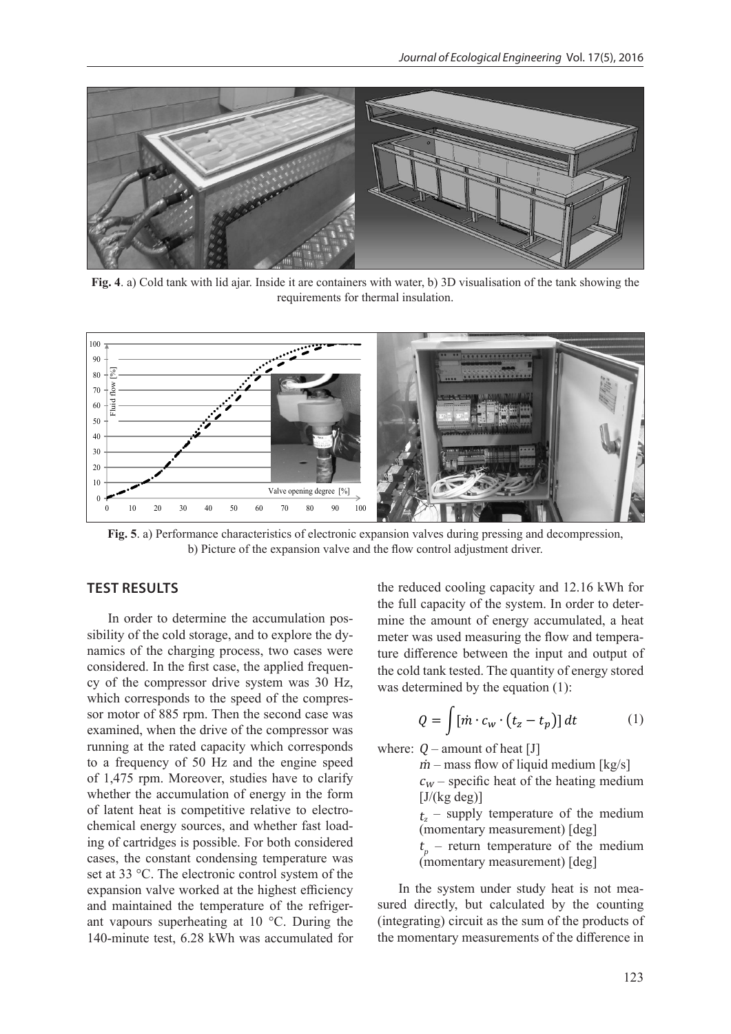

**Fig. 4**. a) Cold tank with lid ajar. Inside it are containers with water, b) 3D visualisation of the tank showing the requirements for thermal insulation.



**Fig. 5**. a) Performance characteristics of electronic expansion valves during pressing and decompression, b) Picture of the expansion valve and the flow control adjustment driver.

# **TEST RESULTS**

In order to determine the accumulation possibility of the cold storage, and to explore the dynamics of the charging process, two cases were considered. In the first case, the applied frequency of the compressor drive system was 30 Hz, which corresponds to the speed of the compressor motor of 885 rpm. Then the second case was examined, when the drive of the compressor was running at the rated capacity which corresponds to a frequency of 50 Hz and the engine speed of 1,475 rpm. Moreover, studies have to clarify whether the accumulation of energy in the form of latent heat is competitive relative to electrochemical energy sources, and whether fast loading of cartridges is possible. For both considered cases, the constant condensing temperature was set at 33 °C. The electronic control system of the expansion valve worked at the highest efficiency and maintained the temperature of the refrigerant vapours superheating at 10 °C. During the 140-minute test, 6.28 kWh was accumulated for the reduced cooling capacity and 12.16 kWh for the full capacity of the system. In order to determine the amount of energy accumulated, a heat meter was used measuring the flow and temperature difference between the input and output of the cold tank tested. The quantity of energy stored was determined by the equation (1):

$$
Q = \int [\dot{m} \cdot c_w \cdot (t_z - t_p)] dt \tag{1}
$$

where:  $Q$  – amount of heat [J]

 $\dot{m}$  – mass flow of liquid medium [kg/s]  $c_w$  – specific heat of the heating medium  $[J/(kg \deg)]$ 

 $t_z$  – supply temperature of the medium (momentary measurement) [deg]

 $t_p$  – return temperature of the medium (momentary measurement) [deg]

In the system under study heat is not measured directly, but calculated by the counting (integrating) circuit as the sum of the products of the momentary measurements of the difference in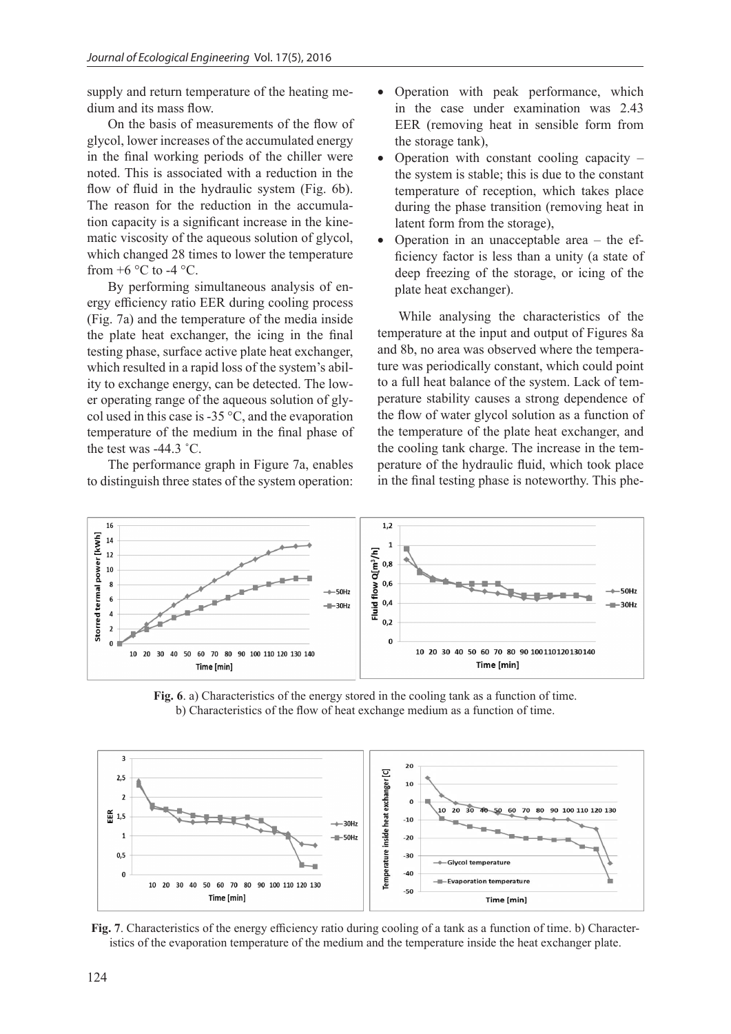supply and return temperature of the heating medium and its mass flow.

On the basis of measurements of the flow of glycol, lower increases of the accumulated energy in the final working periods of the chiller were noted. This is associated with a reduction in the flow of fluid in the hydraulic system (Fig. 6b). The reason for the reduction in the accumulation capacity is a significant increase in the kinematic viscosity of the aqueous solution of glycol, which changed 28 times to lower the temperature from  $+6$  °C to -4 °C.

By performing simultaneous analysis of energy efficiency ratio EER during cooling process (Fig. 7a) and the temperature of the media inside the plate heat exchanger, the icing in the final testing phase, surface active plate heat exchanger, which resulted in a rapid loss of the system's ability to exchange energy, can be detected. The lower operating range of the aqueous solution of glycol used in this case is  $-35^{\circ}$ C, and the evaporation temperature of the medium in the final phase of the test was -44.3 ˚C.

The performance graph in Figure 7a, enables to distinguish three states of the system operation:

- Operation with peak performance, which in the case under examination was 2.43 EER (removing heat in sensible form from the storage tank),
- Operation with constant cooling capacity the system is stable; this is due to the constant temperature of reception, which takes place during the phase transition (removing heat in latent form from the storage),
- Operation in an unacceptable area the efficiency factor is less than a unity (a state of deep freezing of the storage, or icing of the plate heat exchanger).

While analysing the characteristics of the temperature at the input and output of Figures 8a and 8b, no area was observed where the temperature was periodically constant, which could point to a full heat balance of the system. Lack of temperature stability causes a strong dependence of the flow of water glycol solution as a function of the temperature of the plate heat exchanger, and the cooling tank charge. The increase in the temperature of the hydraulic fluid, which took place in the final testing phase is noteworthy. This phe-



**Fig. 6**. a) Characteristics of the energy stored in the cooling tank as a function of time. b) Characteristics of the flow of heat exchange medium as a function of time.



**Fig. 7.** Characteristics of the energy efficiency ratio during cooling of a tank as a function of time. b) Characteristics of the evaporation temperature of the medium and the temperature inside the heat exchanger plate.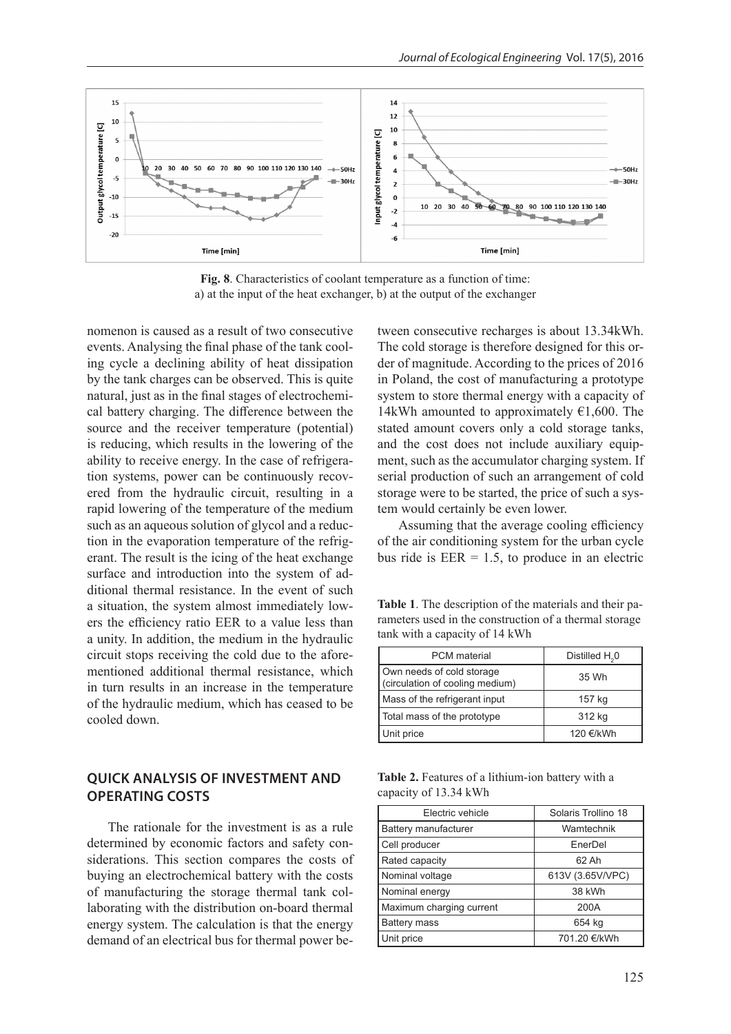

**Fig. 8**. Characteristics of coolant temperature as a function of time: a) at the input of the heat exchanger, b) at the output of the exchanger

nomenon is caused as a result of two consecutive events. Analysing the final phase of the tank cooling cycle a declining ability of heat dissipation by the tank charges can be observed. This is quite natural, just as in the final stages of electrochemical battery charging. The difference between the source and the receiver temperature (potential) is reducing, which results in the lowering of the ability to receive energy. In the case of refrigeration systems, power can be continuously recovered from the hydraulic circuit, resulting in a rapid lowering of the temperature of the medium such as an aqueous solution of glycol and a reduction in the evaporation temperature of the refrigerant. The result is the icing of the heat exchange surface and introduction into the system of additional thermal resistance. In the event of such a situation, the system almost immediately lowers the efficiency ratio EER to a value less than a unity. In addition, the medium in the hydraulic circuit stops receiving the cold due to the aforementioned additional thermal resistance, which in turn results in an increase in the temperature of the hydraulic medium, which has ceased to be cooled down.

## **QUICK ANALYSIS OF INVESTMENT AND OPERATING COSTS**

The rationale for the investment is as a rule determined by economic factors and safety considerations. This section compares the costs of buying an electrochemical battery with the costs of manufacturing the storage thermal tank collaborating with the distribution on-board thermal energy system. The calculation is that the energy demand of an electrical bus for thermal power between consecutive recharges is about 13.34kWh. The cold storage is therefore designed for this order of magnitude. According to the prices of 2016 in Poland, the cost of manufacturing a prototype system to store thermal energy with a capacity of 14kWh amounted to approximately  $\epsilon$ 1,600. The stated amount covers only a cold storage tanks, and the cost does not include auxiliary equipment, such as the accumulator charging system. If serial production of such an arrangement of cold storage were to be started, the price of such a system would certainly be even lower.

Assuming that the average cooling efficiency of the air conditioning system for the urban cycle bus ride is  $EER = 1.5$ , to produce in an electric

**Table 1**. The description of the materials and their parameters used in the construction of a thermal storage tank with a capacity of 14 kWh

| <b>PCM</b> material                                          | Distilled H <sub>2</sub> 0 |
|--------------------------------------------------------------|----------------------------|
| Own needs of cold storage<br>(circulation of cooling medium) | 35 Wh                      |
| Mass of the refrigerant input                                | 157 kg                     |
| Total mass of the prototype                                  | 312 kg                     |
| Unit price                                                   | 120 €/kWh                  |

**Table 2.** Features of a lithium-ion battery with a capacity of 13.34 kWh

| Electric vehicle         | Solaris Trollino 18 |
|--------------------------|---------------------|
| Battery manufacturer     | Wamtechnik          |
| Cell producer            | EnerDel             |
| Rated capacity           | 62 Ah               |
| Nominal voltage          | 613V (3.65V/VPC)    |
| Nominal energy           | 38 kWh              |
| Maximum charging current | 200A                |
| <b>Battery mass</b>      | 654 kg              |
| Unit price               | 701.20 €/kWh        |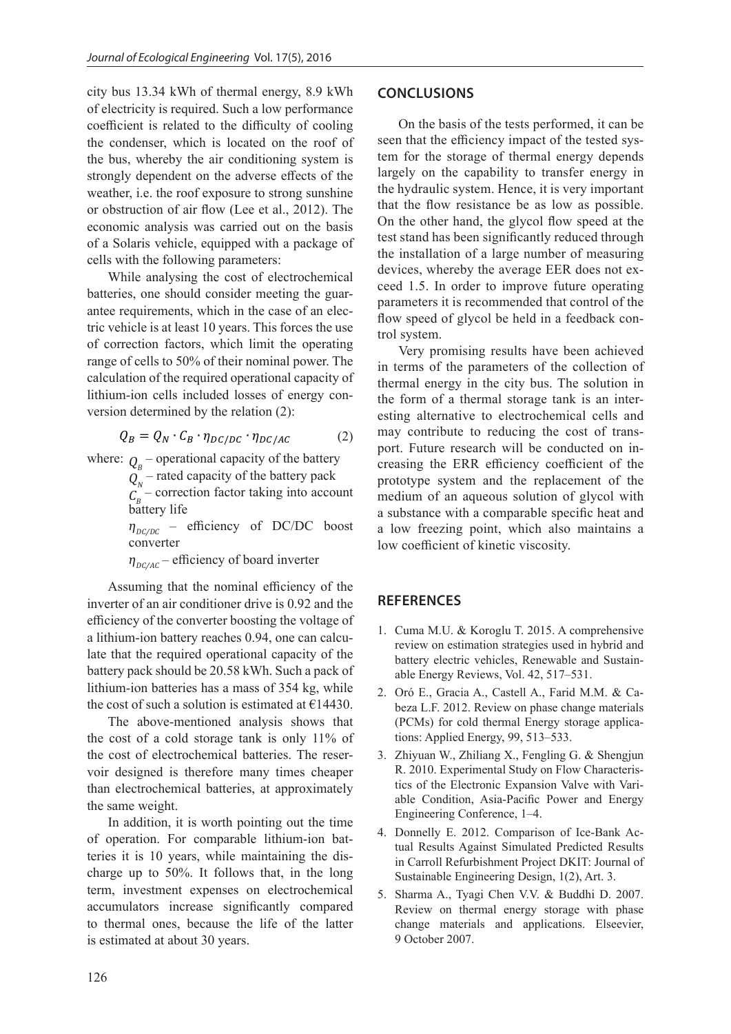city bus 13.34 kWh of thermal energy, 8.9 kWh of electricity is required. Such a low performance coefficient is related to the difficulty of cooling the condenser, which is located on the roof of the bus, whereby the air conditioning system is strongly dependent on the adverse effects of the weather, i.e. the roof exposure to strong sunshine or obstruction of air flow (Lee et al., 2012). The economic analysis was carried out on the basis of a Solaris vehicle, equipped with a package of cells with the following parameters:

While analysing the cost of electrochemical batteries, one should consider meeting the guarantee requirements, which in the case of an electric vehicle is at least 10 years. This forces the use of correction factors, which limit the operating range of cells to 50% of their nominal power. The calculation of the required operational capacity of lithium-ion cells included losses of energy conversion determined by the relation (2):

$$
Q_B = Q_N \cdot C_B \cdot \eta_{DC/DC} \cdot \eta_{DC/AC} \tag{2}
$$

where:  $Q_B$  – operational capacity of the battery

 $Q_N$  – rated capacity of the battery pack

 $C_B^{\prime}$  – correction factor taking into account battery life

 $\eta_{DC/DC}$  – efficiency of DC/DC boost converter

 $\eta_{\text{nc/AC}}$  – efficiency of board inverter

Assuming that the nominal efficiency of the inverter of an air conditioner drive is 0.92 and the efficiency of the converter boosting the voltage of a lithium-ion battery reaches 0.94, one can calculate that the required operational capacity of the battery pack should be 20.58 kWh. Such a pack of lithium-ion batteries has a mass of 354 kg, while the cost of such a solution is estimated at  $£14430$ .

The above-mentioned analysis shows that the cost of a cold storage tank is only 11% of the cost of electrochemical batteries. The reservoir designed is therefore many times cheaper than electrochemical batteries, at approximately the same weight.

In addition, it is worth pointing out the time of operation. For comparable lithium-ion batteries it is 10 years, while maintaining the discharge up to 50%. It follows that, in the long term, investment expenses on electrochemical accumulators increase significantly compared to thermal ones, because the life of the latter is estimated at about 30 years.

#### **CONCLUSIONS**

On the basis of the tests performed, it can be seen that the efficiency impact of the tested system for the storage of thermal energy depends largely on the capability to transfer energy in the hydraulic system. Hence, it is very important that the flow resistance be as low as possible. On the other hand, the glycol flow speed at the test stand has been significantly reduced through the installation of a large number of measuring devices, whereby the average EER does not exceed 1.5. In order to improve future operating parameters it is recommended that control of the flow speed of glycol be held in a feedback control system.

Very promising results have been achieved in terms of the parameters of the collection of thermal energy in the city bus. The solution in the form of a thermal storage tank is an interesting alternative to electrochemical cells and may contribute to reducing the cost of transport. Future research will be conducted on increasing the ERR efficiency coefficient of the prototype system and the replacement of the medium of an aqueous solution of glycol with a substance with a comparable specific heat and a low freezing point, which also maintains a low coefficient of kinetic viscosity.

### **REFERENCES**

- 1. Cuma M.U. & Koroglu T. 2015. A comprehensive review on estimation strategies used in hybrid and battery electric vehicles, Renewable and Sustainable Energy Reviews, Vol. 42, 517–531.
- 2. Oró E., Gracia A., Castell A., Farid M.M. & Cabeza L.F. 2012. Review on phase change materials (PCMs) for cold thermal Energy storage applications: Applied Energy, 99, 513–533.
- 3. Zhiyuan W., Zhiliang X., Fengling G. & Shengjun R. 2010. Experimental Study on Flow Characteristics of the Electronic Expansion Valve with Variable Condition, Asia-Pacific Power and Energy Engineering Conference, 1–4.
- 4. Donnelly E. 2012. Comparison of Ice-Bank Actual Results Against Simulated Predicted Results in Carroll Refurbishment Project DKIT: Journal of Sustainable Engineering Design, 1(2), Art. 3.
- 5. Sharma A., Tyagi Chen V.V. & Buddhi D. 2007. Review on thermal energy storage with phase change materials and applications. Elseevier, 9 October 2007.